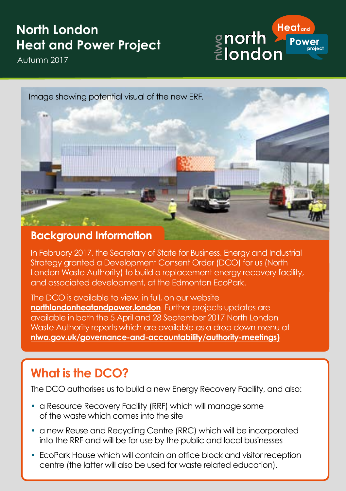# **North London Heat and Power Project**

Autumn 2017





In February 2017, the Secretary of State for Business, Energy and Industrial Strategy granted a Development Consent Order (DCO) for us (North London Waste Authority) to build a replacement energy recovery facility, and associated development, at the Edmonton EcoPark.

The DCO is available to view, in full, on our website **[northlondonheatandpower.london](http://www.northlondonheatandpower.london)** Further projects updates are available in both the 5 April and 28 September 2017 North London Waste Authority reports which are available as a drop down menu at **[nlwa.gov.uk/governance-and-accountability/authority-](http://www.nlwa.gov.uk/governance-and-accountability/authority)meetings)**

#### **What is the DCO?**

The DCO authorises us to build a new Energy Recovery Facility, and also:

- a Resource Recovery Facility (RRF) which will manage some of the waste which comes into the site
- a new Reuse and Recycling Centre (RRC) which will be incorporated into the RRF and will be for use by the public and local businesses
- EcoPark House which will contain an office block and visitor reception centre (the latter will also be used for waste related education).